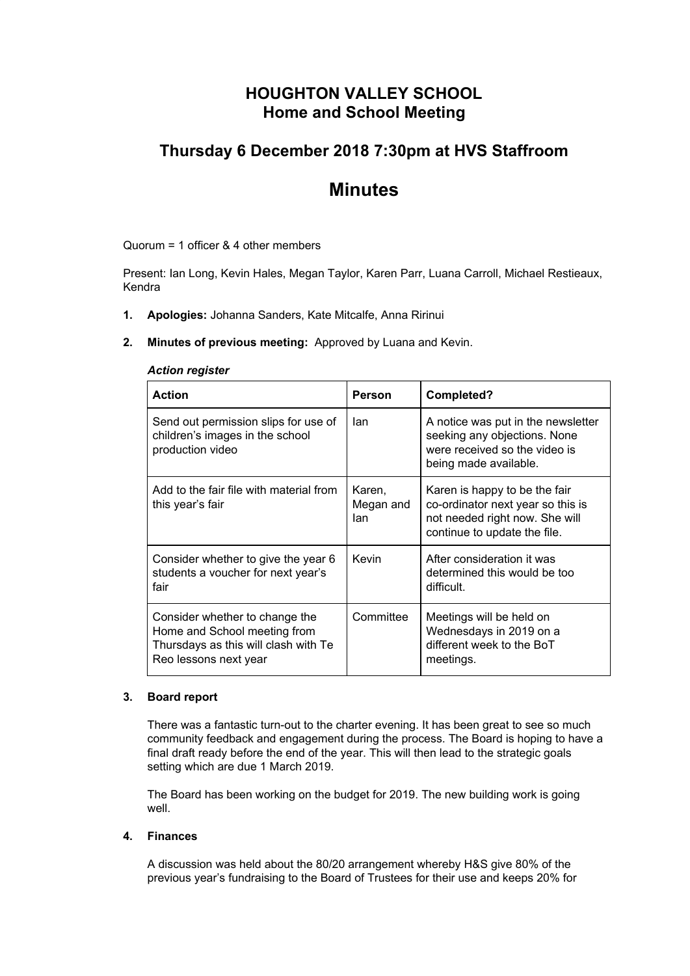# **HOUGHTON VALLEY SCHOOL Home and School Meeting**

# **Thursday 6 December 2018 7:30pm at HVS Staffroom**

# **Minutes**

Quorum = 1 officer & 4 other members

Present: Ian Long, Kevin Hales, Megan Taylor, Karen Parr, Luana Carroll, Michael Restieaux, Kendra

- **1. Apologies:** Johanna Sanders, Kate Mitcalfe, Anna Ririnui
- **2. Minutes of previous meeting:** Approved by Luana and Kevin.

#### *Action register*

| <b>Action</b>                                                                                                                   | Person                     | Completed?                                                                                                                           |
|---------------------------------------------------------------------------------------------------------------------------------|----------------------------|--------------------------------------------------------------------------------------------------------------------------------------|
| Send out permission slips for use of<br>children's images in the school<br>production video                                     | lan                        | A notice was put in the newsletter<br>seeking any objections. None<br>were received so the video is<br>being made available.         |
| Add to the fair file with material from<br>this year's fair                                                                     | Karen,<br>Megan and<br>lan | Karen is happy to be the fair<br>co-ordinator next year so this is<br>not needed right now. She will<br>continue to update the file. |
| Consider whether to give the year 6<br>students a voucher for next year's<br>fair                                               | Kevin                      | After consideration it was<br>determined this would be too<br>difficult.                                                             |
| Consider whether to change the<br>Home and School meeting from<br>Thursdays as this will clash with Te<br>Reo lessons next year | Committee                  | Meetings will be held on<br>Wednesdays in 2019 on a<br>different week to the BoT<br>meetings.                                        |

#### **3. Board report**

There was a fantastic turn-out to the charter evening. It has been great to see so much community feedback and engagement during the process. The Board is hoping to have a final draft ready before the end of the year. This will then lead to the strategic goals setting which are due 1 March 2019.

The Board has been working on the budget for 2019. The new building work is going well.

## **4. Finances**

A discussion was held about the 80/20 arrangement whereby H&S give 80% of the previous year's fundraising to the Board of Trustees for their use and keeps 20% for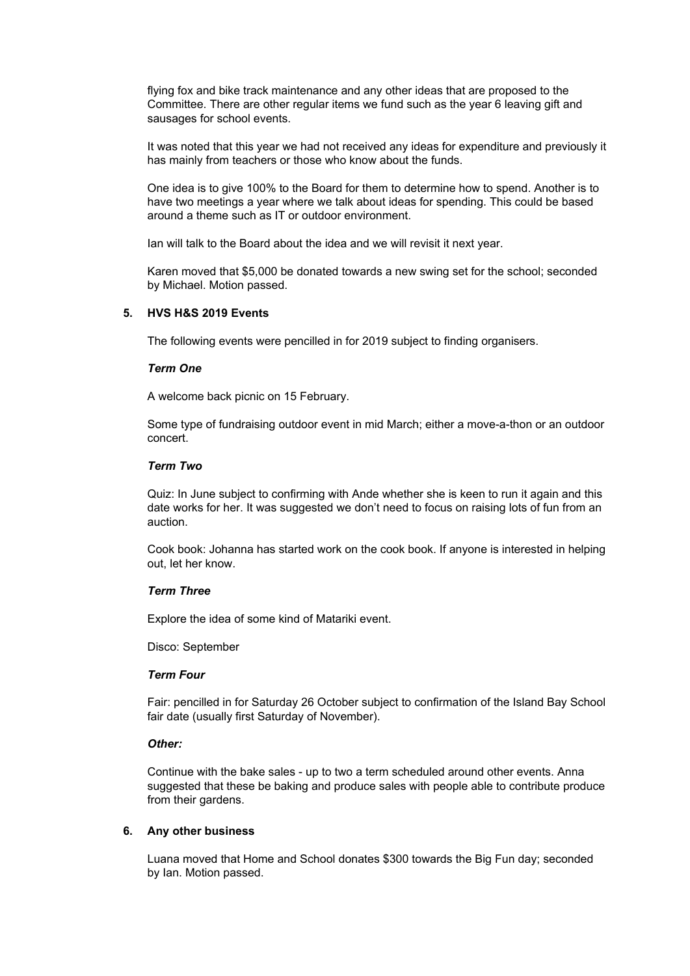flying fox and bike track maintenance and any other ideas that are proposed to the Committee. There are other regular items we fund such as the year 6 leaving gift and sausages for school events.

It was noted that this year we had not received any ideas for expenditure and previously it has mainly from teachers or those who know about the funds.

One idea is to give 100% to the Board for them to determine how to spend. Another is to have two meetings a year where we talk about ideas for spending. This could be based around a theme such as IT or outdoor environment.

Ian will talk to the Board about the idea and we will revisit it next year.

Karen moved that \$5,000 be donated towards a new swing set for the school; seconded by Michael. Motion passed.

#### **5. HVS H&S 2019 Events**

The following events were pencilled in for 2019 subject to finding organisers.

### *Term One*

A welcome back picnic on 15 February.

Some type of fundraising outdoor event in mid March; either a move-a-thon or an outdoor concert.

#### *Term Two*

Quiz: In June subject to confirming with Ande whether she is keen to run it again and this date works for her. It was suggested we don't need to focus on raising lots of fun from an auction.

Cook book: Johanna has started work on the cook book. If anyone is interested in helping out, let her know.

### *Term Three*

Explore the idea of some kind of Matariki event.

Disco: September

### *Term Four*

Fair: pencilled in for Saturday 26 October subject to confirmation of the Island Bay School fair date (usually first Saturday of November).

#### *Other:*

Continue with the bake sales - up to two a term scheduled around other events. Anna suggested that these be baking and produce sales with people able to contribute produce from their gardens.

## **6. Any other business**

Luana moved that Home and School donates \$300 towards the Big Fun day; seconded by Ian. Motion passed.